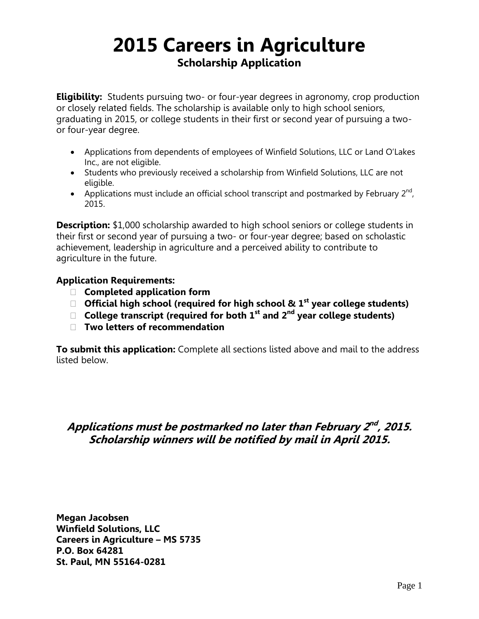## **2015 Careers in Agriculture Scholarship Application**

**Eligibility:** Students pursuing two- or four-year degrees in agronomy, crop production or closely related fields. The scholarship is available only to high school seniors, graduating in 2015, or college students in their first or second year of pursuing a twoor four-year degree.

- Applications from dependents of employees of Winfield Solutions, LLC or Land O'Lakes Inc., are not eligible.
- Students who previously received a scholarship from Winfield Solutions, LLC are not eligible.
- Applications must include an official school transcript and postmarked by February  $2^{nd}$ , 2015.

**Description:** \$1,000 scholarship awarded to high school seniors or college students in their first or second year of pursuing a two- or four-year degree; based on scholastic achievement, leadership in agriculture and a perceived ability to contribute to agriculture in the future.

### **Application Requirements:**

- **Completed application form**
- **Official high school (required for high school & 1st year college students)**
- **College transcript (required for both 1st and 2nd year college students)**
- **Two letters of recommendation**

**To submit this application:** Complete all sections listed above and mail to the address listed below.

### Applications must be postmarked no later than February 2<sup>nd</sup>, 2015. **Scholarship winners will be notified by mail in April 2015.**

**Megan Jacobsen Winfield Solutions, LLC Careers in Agriculture – MS 5735 P.O. Box 64281 St. Paul, MN 55164-0281**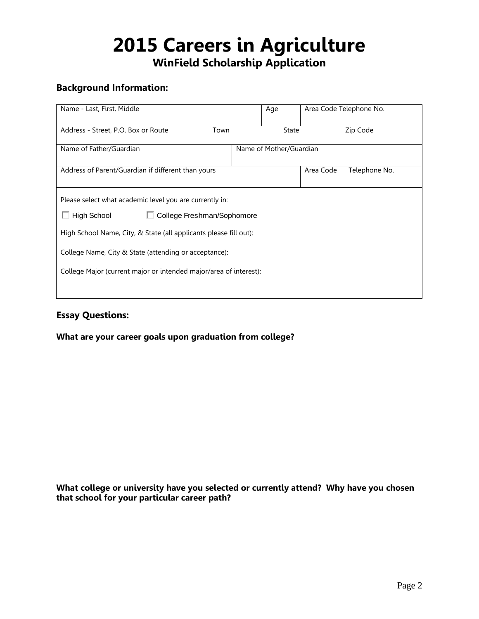# **2015 Careers in Agriculture**

**WinField Scholarship Application**

#### **Background Information:**

| Name - Last, First, Middle                                        |                            | Age          | Area Code Telephone No. |  |  |  |
|-------------------------------------------------------------------|----------------------------|--------------|-------------------------|--|--|--|
| Address - Street, P.O. Box or Route<br>Town                       |                            | <b>State</b> | Zip Code                |  |  |  |
| Name of Father/Guardian                                           | Name of Mother/Guardian    |              |                         |  |  |  |
| Address of Parent/Guardian if different than yours                | Area Code<br>Telephone No. |              |                         |  |  |  |
| Please select what academic level you are currently in:           |                            |              |                         |  |  |  |
| $\Box$ High School<br>College Freshman/Sophomore                  |                            |              |                         |  |  |  |
| High School Name, City, & State (all applicants please fill out): |                            |              |                         |  |  |  |
| College Name, City & State (attending or acceptance):             |                            |              |                         |  |  |  |
| College Major (current major or intended major/area of interest): |                            |              |                         |  |  |  |
|                                                                   |                            |              |                         |  |  |  |

### **Essay Questions:**

**What are your career goals upon graduation from college?**

**What college or university have you selected or currently attend? Why have you chosen that school for your particular career path?**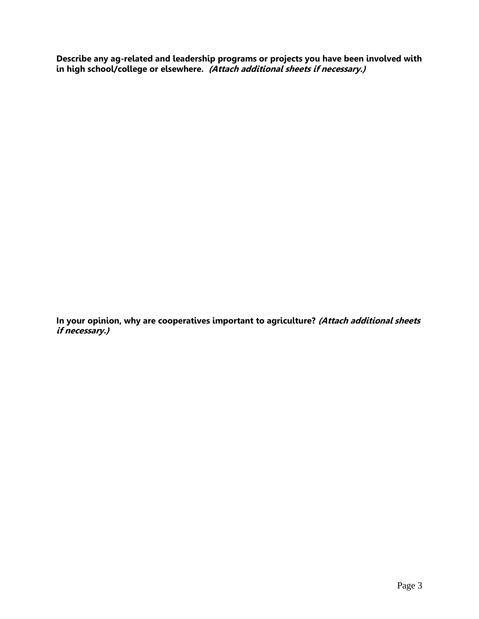**Describe any ag-related and leadership programs or projects you have been involved with in high school/college or elsewhere. (Attach additional sheets if necessary.)**

**In your opinion, why are cooperatives important to agriculture? (Attach additional sheets if necessary.)**